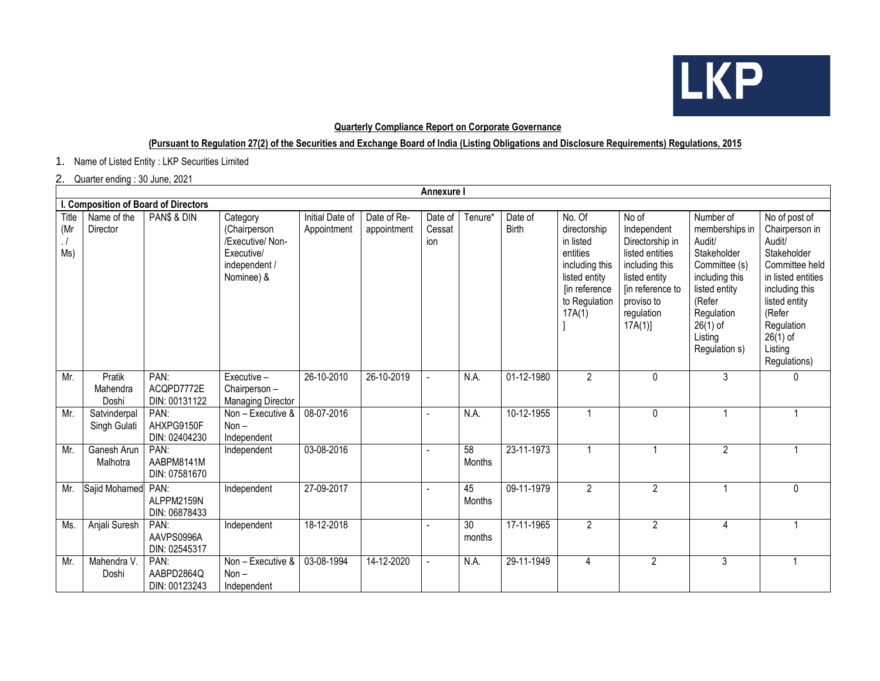

## **Quarterly Compliance Report on Corporate Governance**

## **(Pursuant to Regulation 27(2) of the Securities and Exchange Board of India (Listing Obligations and Disclosure Requirements) Regulations, 2015**

1. Name of Listed Entity : LKP Securities Limited

## 2. Quarter ending : 30 June, 2021

| Annexure I                           |                              |                                     |                                                                                           |                                |                            |                          |                           |                         |                                                                                                                                |                                                                                                                                                         |                                                                                                                                                                            |                                                                                                                                                                                                      |
|--------------------------------------|------------------------------|-------------------------------------|-------------------------------------------------------------------------------------------|--------------------------------|----------------------------|--------------------------|---------------------------|-------------------------|--------------------------------------------------------------------------------------------------------------------------------|---------------------------------------------------------------------------------------------------------------------------------------------------------|----------------------------------------------------------------------------------------------------------------------------------------------------------------------------|------------------------------------------------------------------------------------------------------------------------------------------------------------------------------------------------------|
| I. Composition of Board of Directors |                              |                                     |                                                                                           |                                |                            |                          |                           |                         |                                                                                                                                |                                                                                                                                                         |                                                                                                                                                                            |                                                                                                                                                                                                      |
| Title<br>(Mr<br>$\cdot$ /<br>Ms)     | Name of the<br>Director      | PAN\$ & DIN                         | Category<br>(Chairperson<br>/Executive/ Non-<br>Executive/<br>independent /<br>Nominee) & | Initial Date of<br>Appointment | Date of Re-<br>appointment | Date of<br>Cessat<br>ion | Tenure*                   | Date of<br><b>Birth</b> | No. Of<br>directorship<br>in listed<br>entities<br>including this<br>listed entity<br>[in reference<br>to Regulation<br>17A(1) | No of<br>Independent<br>Directorship in<br>listed entities<br>including this<br>listed entity<br>[in reference to<br>proviso to<br>regulation<br>17A(1) | Number of<br>memberships in<br>Audit/<br>Stakeholder<br>Committee (s)<br>including this<br>listed entity<br>(Refer<br>Regulation<br>$26(1)$ of<br>Listing<br>Regulation s) | No of post of<br>Chairperson in<br>Audit/<br>Stakeholder<br>Committee held<br>in listed entities<br>including this<br>listed entity<br>(Refer<br>Regulation<br>$26(1)$ of<br>Listing<br>Regulations) |
| Mr.                                  | Pratik<br>Mahendra<br>Doshi  | PAN:<br>ACQPD7772E<br>DIN: 00131122 | Executive -<br>Chairperson -<br><b>Managing Director</b>                                  | 26-10-2010                     | 26-10-2019                 |                          | N.A.                      | 01-12-1980              | $\overline{2}$                                                                                                                 | $\mathbf 0$                                                                                                                                             | 3                                                                                                                                                                          | 0                                                                                                                                                                                                    |
| Mr.                                  | Satvinderpal<br>Singh Gulati | PAN:<br>AHXPG9150F<br>DIN: 02404230 | Non - Executive &<br>$Non -$<br>Independent                                               | 08-07-2016                     |                            |                          | N.A.                      | 10-12-1955              | $\overline{1}$                                                                                                                 | $\pmb{0}$                                                                                                                                               |                                                                                                                                                                            | 1                                                                                                                                                                                                    |
| Mr.                                  | Ganesh Arun<br>Malhotra      | PAN:<br>AABPM8141M<br>DIN: 07581670 | Independent                                                                               | 03-08-2016                     |                            |                          | 58<br><b>Months</b>       | 23-11-1973              | 1                                                                                                                              |                                                                                                                                                         | $\overline{2}$                                                                                                                                                             | $\mathbf{1}$                                                                                                                                                                                         |
| Mr.                                  | Sajid Mohamed PAN:           | ALPPM2159N<br>DIN: 06878433         | Independent                                                                               | 27-09-2017                     |                            |                          | 45<br>Months              | 09-11-1979              | $\overline{2}$                                                                                                                 | $\overline{2}$                                                                                                                                          |                                                                                                                                                                            | 0                                                                                                                                                                                                    |
| Ms.                                  | Anjali Suresh                | PAN:<br>AAVPS0996A<br>DIN: 02545317 | Independent                                                                               | 18-12-2018                     |                            | $\overline{a}$           | $\overline{30}$<br>months | 17-11-1965              | $\overline{2}$                                                                                                                 | $\overline{2}$                                                                                                                                          | $\overline{4}$                                                                                                                                                             | $\overline{1}$                                                                                                                                                                                       |
| Mr.                                  | Mahendra V.<br>Doshi         | PAN:<br>AABPD2864Q<br>DIN: 00123243 | Non - Executive &<br>$Non -$<br>Independent                                               | 03-08-1994                     | 14-12-2020                 |                          | N.A.                      | 29-11-1949              | 4                                                                                                                              | $\overline{2}$                                                                                                                                          | 3                                                                                                                                                                          |                                                                                                                                                                                                      |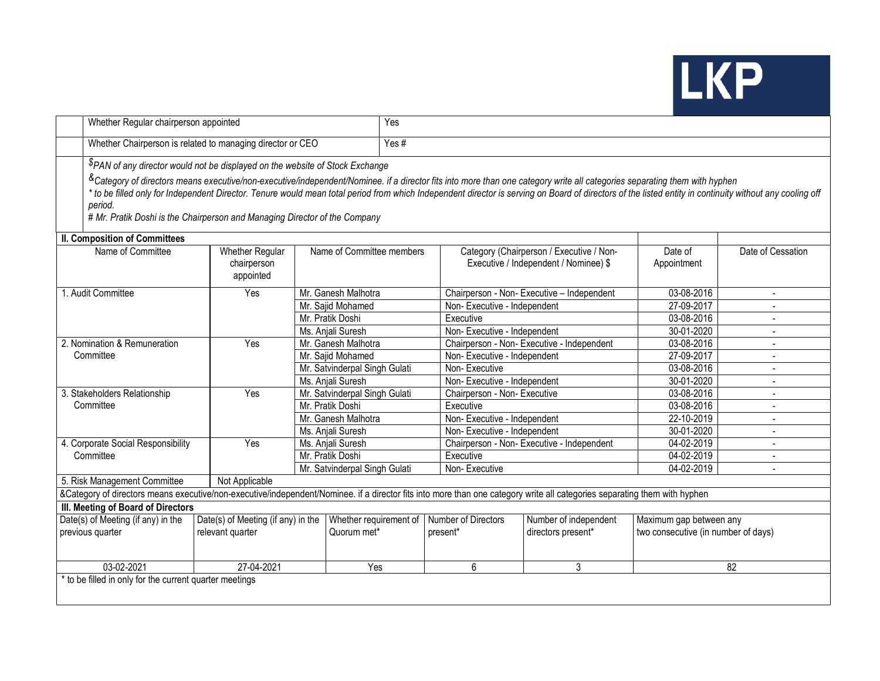

|                                                                                                                                                                           | Whether Regular chairperson appointed                                                                                                                                                                                                                                                                                                                                                                                                                                                             |                                                                           |                               |                     |               | Yes                          |                                              |                                                                                   |                                     |                   |  |  |
|---------------------------------------------------------------------------------------------------------------------------------------------------------------------------|---------------------------------------------------------------------------------------------------------------------------------------------------------------------------------------------------------------------------------------------------------------------------------------------------------------------------------------------------------------------------------------------------------------------------------------------------------------------------------------------------|---------------------------------------------------------------------------|-------------------------------|---------------------|---------------|------------------------------|----------------------------------------------|-----------------------------------------------------------------------------------|-------------------------------------|-------------------|--|--|
|                                                                                                                                                                           | Whether Chairperson is related to managing director or CEO                                                                                                                                                                                                                                                                                                                                                                                                                                        |                                                                           |                               |                     |               | Yes#                         |                                              |                                                                                   |                                     |                   |  |  |
|                                                                                                                                                                           | \$PAN of any director would not be displayed on the website of Stock Exchange<br><sup>&amp;</sup> Category of directors means executive/non-executive/independent/Nominee. if a director fits into more than one category write all categories separating them with hyphen<br>* to be filled only for Independent Director. Tenure would mean total period from which Independent director is serving on Board of directors of the listed entity in continuity without any cooling off<br>period. |                                                                           |                               |                     |               |                              |                                              |                                                                                   |                                     |                   |  |  |
| # Mr. Pratik Doshi is the Chairperson and Managing Director of the Company                                                                                                |                                                                                                                                                                                                                                                                                                                                                                                                                                                                                                   |                                                                           |                               |                     |               |                              |                                              |                                                                                   |                                     |                   |  |  |
| II. Composition of Committees                                                                                                                                             |                                                                                                                                                                                                                                                                                                                                                                                                                                                                                                   |                                                                           |                               |                     |               |                              |                                              |                                                                                   |                                     |                   |  |  |
|                                                                                                                                                                           | Name of Committee                                                                                                                                                                                                                                                                                                                                                                                                                                                                                 | <b>Whether Regular</b><br>chairperson<br>appointed                        | Name of Committee members     |                     |               |                              |                                              | Category (Chairperson / Executive / Non-<br>Executive / Independent / Nominee) \$ | Date of<br>Appointment              | Date of Cessation |  |  |
|                                                                                                                                                                           | 1. Audit Committee                                                                                                                                                                                                                                                                                                                                                                                                                                                                                | Yes                                                                       |                               | Mr. Ganesh Malhotra |               |                              |                                              | Chairperson - Non- Executive - Independent                                        | 03-08-2016                          |                   |  |  |
|                                                                                                                                                                           |                                                                                                                                                                                                                                                                                                                                                                                                                                                                                                   |                                                                           | Mr. Sajid Mohamed             |                     |               |                              | Non-Executive - Independent                  |                                                                                   | 27-09-2017                          |                   |  |  |
|                                                                                                                                                                           |                                                                                                                                                                                                                                                                                                                                                                                                                                                                                                   |                                                                           | Mr. Pratik Doshi              |                     |               |                              | Executive                                    |                                                                                   | 03-08-2016                          |                   |  |  |
|                                                                                                                                                                           |                                                                                                                                                                                                                                                                                                                                                                                                                                                                                                   |                                                                           | Ms. Anjali Suresh             |                     |               | Non-Executive - Independent  |                                              | 30-01-2020                                                                        |                                     |                   |  |  |
|                                                                                                                                                                           | 2. Nomination & Remuneration                                                                                                                                                                                                                                                                                                                                                                                                                                                                      | Yes                                                                       | Mr. Ganesh Malhotra           |                     |               |                              | Chairperson - Non- Executive - Independent   | 03-08-2016                                                                        |                                     |                   |  |  |
|                                                                                                                                                                           | Committee                                                                                                                                                                                                                                                                                                                                                                                                                                                                                         |                                                                           | Mr. Sajid Mohamed             |                     |               | Non-Executive - Independent  |                                              | 27-09-2017                                                                        |                                     |                   |  |  |
|                                                                                                                                                                           |                                                                                                                                                                                                                                                                                                                                                                                                                                                                                                   |                                                                           | Mr. Satvinderpal Singh Gulati |                     |               | Non-Executive                |                                              | 03-08-2016                                                                        |                                     |                   |  |  |
|                                                                                                                                                                           |                                                                                                                                                                                                                                                                                                                                                                                                                                                                                                   |                                                                           | Ms. Anjali Suresh             |                     |               | Non-Executive - Independent  |                                              | 30-01-2020                                                                        |                                     |                   |  |  |
|                                                                                                                                                                           | 3. Stakeholders Relationship                                                                                                                                                                                                                                                                                                                                                                                                                                                                      | Yes                                                                       | Mr. Satvinderpal Singh Gulati |                     |               | Chairperson - Non- Executive |                                              | 03-08-2016                                                                        |                                     |                   |  |  |
| Committee                                                                                                                                                                 |                                                                                                                                                                                                                                                                                                                                                                                                                                                                                                   |                                                                           | Mr. Pratik Doshi              |                     |               | Executive                    |                                              | 03-08-2016                                                                        | $\blacksquare$                      |                   |  |  |
|                                                                                                                                                                           |                                                                                                                                                                                                                                                                                                                                                                                                                                                                                                   |                                                                           | Mr. Ganesh Malhotra           |                     |               | Non-Executive - Independent  |                                              | 22-10-2019                                                                        | $\overline{a}$                      |                   |  |  |
|                                                                                                                                                                           |                                                                                                                                                                                                                                                                                                                                                                                                                                                                                                   |                                                                           | Ms. Anjali Suresh             |                     |               | Non-Executive - Independent  |                                              | 30-01-2020                                                                        | $\overline{a}$                      |                   |  |  |
|                                                                                                                                                                           | 4. Corporate Social Responsibility                                                                                                                                                                                                                                                                                                                                                                                                                                                                | Yes                                                                       | Ms. Anjali Suresh             |                     |               |                              | Chairperson - Non- Executive - Independent   | 04-02-2019                                                                        | $\overline{a}$                      |                   |  |  |
| Committee                                                                                                                                                                 |                                                                                                                                                                                                                                                                                                                                                                                                                                                                                                   |                                                                           | Mr. Pratik Doshi              |                     |               | Executive                    |                                              | 04-02-2019                                                                        | $\overline{\phantom{a}}$            |                   |  |  |
|                                                                                                                                                                           |                                                                                                                                                                                                                                                                                                                                                                                                                                                                                                   | Mr. Satvinderpal Singh Gulati                                             |                               |                     | Non-Executive |                              |                                              |                                                                                   | 04-02-2019                          |                   |  |  |
|                                                                                                                                                                           | 5. Risk Management Committee                                                                                                                                                                                                                                                                                                                                                                                                                                                                      | Not Applicable                                                            |                               |                     |               |                              |                                              |                                                                                   |                                     |                   |  |  |
| &Category of directors means executive/non-executive/independent/Nominee. if a director fits into more than one category write all categories separating them with hyphen |                                                                                                                                                                                                                                                                                                                                                                                                                                                                                                   |                                                                           |                               |                     |               |                              |                                              |                                                                                   |                                     |                   |  |  |
| III. Meeting of Board of Directors                                                                                                                                        |                                                                                                                                                                                                                                                                                                                                                                                                                                                                                                   |                                                                           |                               |                     |               |                              |                                              |                                                                                   |                                     |                   |  |  |
| Date(s) of Meeting (if any) in the<br>previous quarter                                                                                                                    |                                                                                                                                                                                                                                                                                                                                                                                                                                                                                                   | $\overline{Date(s)}$ of Meeting (if any) in the<br>Whether requirement of |                               |                     |               |                              | Number of Directors<br>Number of independent |                                                                                   | Maximum gap between any             |                   |  |  |
|                                                                                                                                                                           |                                                                                                                                                                                                                                                                                                                                                                                                                                                                                                   | Quorum met*<br>relevant quarter                                           |                               |                     |               | present*                     |                                              | directors present*                                                                | two consecutive (in number of days) |                   |  |  |
|                                                                                                                                                                           | 03-02-2021                                                                                                                                                                                                                                                                                                                                                                                                                                                                                        | 27-04-2021                                                                |                               | Yes                 |               | 6                            |                                              | 3                                                                                 | 82                                  |                   |  |  |
|                                                                                                                                                                           | * to be filled in only for the current quarter meetings                                                                                                                                                                                                                                                                                                                                                                                                                                           |                                                                           |                               |                     |               |                              |                                              |                                                                                   |                                     |                   |  |  |